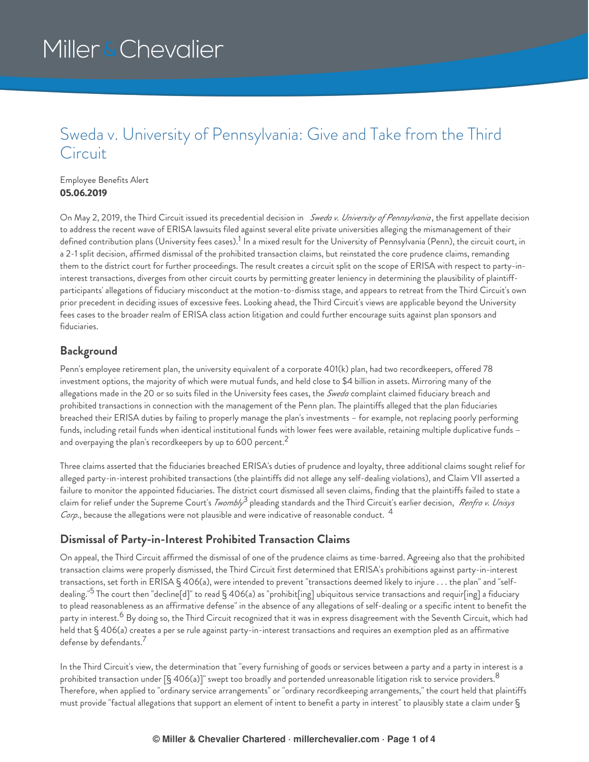### Sweda v. University of Pennsylvania: Give and Take from the Third **Circuit**

Employee Benefits Alert **05.06.2019**

On May 2, 2019, the Third Circuit issued its precedential decision in *Sweda v. University of Pennsylvania* , the first appellate decision to address the recent wave of ERISA lawsuits filed against several elite private universities alleging the mismanagement of their defined contribution plans (University fees cases).<sup>1</sup> In a mixed result for the University of Pennsylvania (Penn), the circuit court, in a 2-1 split decision, affirmed dismissal of the prohibited transaction claims, but reinstated the core prudence claims, remanding them to the district court for further proceedings. The result creates a circuit split on the scope of ERISA with respect to party-ininterest transactions, diverges from other circuit courts by permitting greater leniency in determining the plausibility of plaintiffparticipants' allegations of fiduciary misconduct at the motion-to-dismiss stage, and appears to retreat from the Third Circuit's own prior precedent in deciding issues of excessive fees. Looking ahead, the Third Circuit's views are applicable beyond the University fees cases to the broader realm of ERISA class action litigation and could further encourage suits against plan sponsors and fiduciaries.

#### **Background**

Penn's employee retirement plan, the university equivalent of a corporate 401(k) plan, had two recordkeepers, offered 78 investment options, the majority of which were mutual funds, and held close to \$4 billion in assets. Mirroring many of the allegations made in the 20 or so suits filed in the University fees cases, the *Sweda* complaint claimed fiduciary breach and prohibited transactions in connection with the management of the Penn plan. The plaintiffs alleged that the plan fiduciaries breached their ERISA duties by failing to properly manage the plan's investments – for example, not replacing poorly performing funds, including retail funds when identical institutional funds with lower fees were available, retaining multiple duplicative funds – and overpaying the plan's recordkeepers by up to 600 percent. $^2$ 

Three claims asserted that the fiduciaries breached ERISA's duties of prudence and loyalty, three additional claims sought relief for alleged party-in-interest prohibited transactions (the plaintiffs did not allege any self-dealing violations), and Claim VII asserted a failure to monitor the appointed fiduciaries. The district court dismissed all seven claims, finding that the plaintiffs failed to state a claim for relief under the Supreme Court's *Twombly*<sup>3</sup> pleading standards and the Third Circuit's earlier decision, *Renfro v. Unisys Corp*., because the allegations were not plausible and were indicative of reasonable conduct. 4

#### **Dismissal of Party-in-Interest Prohibited Transaction Claims**

On appeal, the Third Circuit affirmed the dismissal of one of the prudence claims as time-barred. Agreeing also that the prohibited transaction claims were properly dismissed, the Third Circuit first determined that ERISA's prohibitions against party-in-interest transactions, set forth in ERISA § 406(a), were intended to prevent "transactions deemed likely to injure . . . the plan" and "selfdealing."<sup>5</sup> The court then "decline[d]" to read § 406(a) as "prohibit[ing] ubiquitous service transactions and requir[ing] a fiduciary to plead reasonableness as an affirmative defense" in the absence of any allegations of self-dealing or a specific intent to benefit the party in interest.<sup>6</sup> By doing so, the Third Circuit recognized that it was in express disagreement with the Seventh Circuit, which had held that § 406(a) creates a per se rule against party-in-interest transactions and requires an exemption pled as an affirmative defense by defendants. 7

In the Third Circuit's view, the determination that "every furnishing of goods or services between a party and a party in interest is a prohibited transaction under [§ 406(a)]" swept too broadly and portended unreasonable litigation risk to service providers.  $^8$ Therefore, when applied to "ordinary service arrangements" or "ordinary recordkeeping arrangements," the court held that plaintiffs must provide "factual allegations that support an element of intent to benefit a party in interest" to plausibly state a claim under §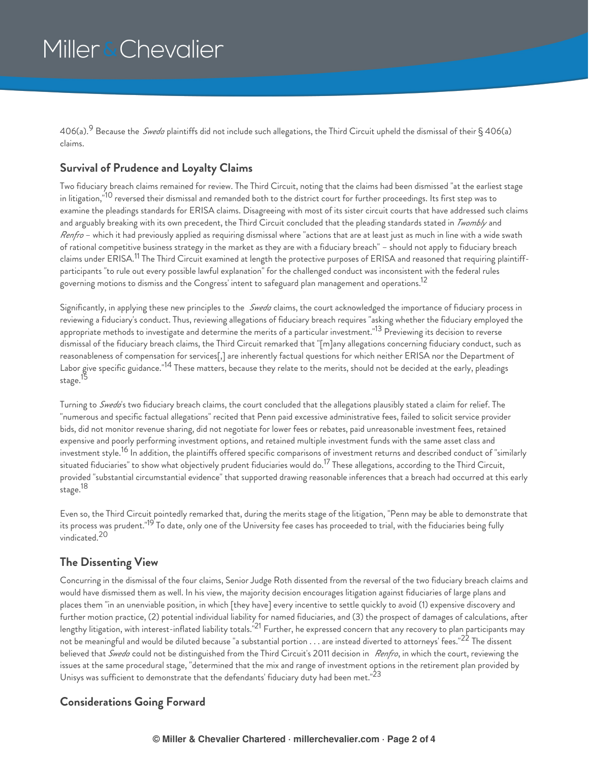406(a).<sup>9</sup> Because the *Sweda* plaintiffs did not include such allegations, the Third Circuit upheld the dismissal of their§406(a) claims.

#### **Survival of Prudence and Loyalty Claims**

Two fiduciary breach claims remained for review. The Third Circuit, noting that the claims had been dismissed "at the earliest stage in litigation,"<sup>10</sup> reversed their dismissal and remanded both to the district court for further proceedings. Its first step was to examine the pleadings standards for ERISA claims. Disagreeing with most of its sister circuit courts that have addressed such claims and arguably breaking with its own precedent, the Third Circuit concluded that the pleading standards stated in *Twombly* and *Renfro* – which it had previously applied as requiring dismissal where "actions that are at least just as much in line with a wide swath of rational competitive business strategy in the market as they are with a fiduciary breach" – should not apply to fiduciary breach claims under ERISA.<sup>11</sup> The Third Circuit examined at length the protective purposes of ERISA and reasoned that requiring plaintiffparticipants "to rule out every possible lawful explanation" for the challenged conduct was inconsistent with the federal rules governing motions to dismiss and the Congress' intent to safeguard plan management and operations. $^{12}$ 

Significantly, in applying these new principles to the *Sweda* claims, the court acknowledged the importance of fiduciary process in reviewing a fiduciary's conduct. Thus, reviewing allegations of fiduciary breach requires "asking whether the fiduciary employed the appropriate methods to investigate and determine the merits of a particular investment."<sup>13</sup> Previewing its decision to reverse dismissal of the fiduciary breach claims, the Third Circuit remarked that "[m]any allegations concerning fiduciary conduct, such as reasonableness of compensation for services[,] are inherently factual questions for which neither ERISA nor the Department of Labor give specific guidance."<sup>14</sup> These matters, because they relate to the merits, should not be decided at the early, pleadings stage.<sup>15</sup>

Turning to *Sweda*'s two fiduciary breach claims, the court concluded that the allegations plausibly stated a claim for relief. The "numerous and specific factual allegations" recited that Penn paid excessive administrative fees, failed to solicit service provider bids, did not monitor revenue sharing, did not negotiate for lower fees or rebates, paid unreasonable investment fees, retained expensive and poorly performing investment options, and retained multiple investment funds with the same asset class and investment style.<sup>16</sup> In addition, the plaintiffs offered specific comparisons of investment returns and described conduct of "similarly situated fiduciaries" to show what objectively prudent fiduciaries would do.<sup>17</sup> These allegations, according to the Third Circuit, provided "substantial circumstantial evidence" that supported drawing reasonable inferences that a breach had occurred at this early stage. 18

Even so, the Third Circuit pointedly remarked that, during the merits stage of the litigation, "Penn may be able to demonstrate that its process was prudent."<sup>19</sup> To date, only one of the University fee cases has proceeded to trial, with the fiduciaries being fully vindicated. 20

#### **The Dissenting View**

Concurring in the dismissal of the four claims, Senior Judge Roth dissented from the reversal of the two fiduciary breach claims and would have dismissed them as well. In his view, the majority decision encourages litigation against fiduciaries of large plans and places them "in an unenviable position, in which [they have] every incentive to settle quickly to avoid (1) expensive discovery and further motion practice, (2) potential individual liability for named fiduciaries, and (3) the prospect of damages of calculations, after lengthy litigation, with interest-inflated liability totals."<sup>21</sup> Further, he expressed concern that any recovery to plan participants may not be meaningful and would be diluted because "a substantial portion  $\ldots$  are instead diverted to attorneys' fees." $^{22}$  The dissent believed that *Sweda* could not be distinguished from the Third Circuit's 2011 decision in *Renfro*, in which the court, reviewing the issues at the same procedural stage, "determined that the mix and range of investment options in the retirement plan provided by Unisys was sufficient to demonstrate that the defendants' fiduciary duty had been met." $^{23}$ 

#### **Considerations Going Forward**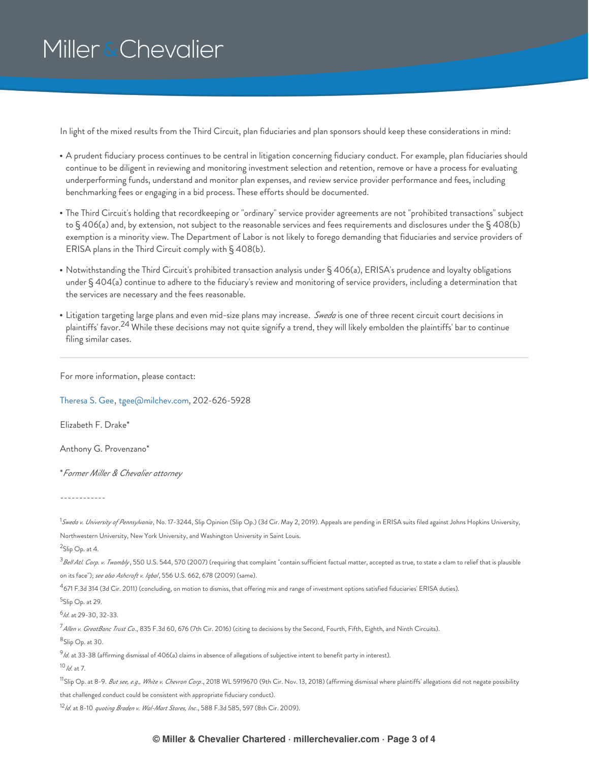In light of the mixed results from the Third Circuit, plan fiduciaries and plan sponsors should keep these considerations in mind:

- A prudent fiduciary process continues to be central in litigation concerning fiduciary conduct. For example, plan fiduciaries should continue to be diligent in reviewing and monitoring investment selection and retention, remove or have a process for evaluating underperforming funds, understand and monitor plan expenses, and review service provider performance and fees, including benchmarking fees or engaging in a bid process. These efforts should be documented.
- The Third Circuit's holding that recordkeeping or "ordinary" service provider agreements are not "prohibited transactions" subject to § 406(a) and, by extension, not subject to the reasonable services and fees requirements and disclosures under the § 408(b) exemption is a minority view. The Department of Labor is not likely to forego demanding that fiduciaries and service providers of ERISA plans in the Third Circuit comply with § 408(b).
- Notwithstanding the Third Circuit's prohibited transaction analysis under § 406(a), ERISA's prudence and loyalty obligations under § 404(a) continue to adhere to the fiduciary's review and monitoring of service providers, including a determination that the services are necessary and the fees reasonable.
- Litigation targeting large plans and even mid-size plans may increase. *Sweda* is one of three recent circuit court decisions in plaintiffs' favor. $^{24}$  While these decisions may not quite signify a trend, they will likely embolden the plaintiffs' bar to continue filing similar cases.

For more information, please contact:

[Theresa](https://www.millerchevalier.com/node/9177) S. Gee, [tgee@milchev.com](mailto:tgee@milchev.com), 202-626-5928

Elizabeth F. Drake\*

Anthony G. Provenzano\*

\**Former Miller & Chevalier attorney*

------------

<sup>1</sup>*Sweda v. University of Pennsylvania* , No. 17-3244, Slip Opinion (Slip Op.) (3d Cir. May 2, 2019). Appeals are pending in ERISA suits filed against Johns Hopkins University, Northwestern University, New York University, and Washington University in Saint Louis.

<sup>2</sup>Slip Op. at 4.

*Bell Atl. Corp. v. Twombly* , 550 U.S. 544, 570 (2007) (requiring that complaint "contain sufficient factual matter, accepted as true, to state a clam to relief that is plausible 3 on its face"); *see also Ashcroft v. Iqbal*, 556 U.S. 662, 678 (2009) (same).

 $^{\rm 4}$ 671 F.3d 314 (3d Cir. 2011) (concluding, on motion to dismiss, that offering mix and range of investment options satisfied fiduciaries' ERISA duties).

<sup>5</sup>Slip Op. at 29.

<sup>6</sup>/d. at 29-30, 32-33.

*Allen v. GreatBanc Trust Co*., 835 F.3d 60, 676 (7th Cir. 2016) (citing to decisions by the Second, Fourth, Fifth, Eighth, and Ninth Circuits). 7

<sup>8</sup>Slip Op. at 30.

*Id*. at 33-38 (affirming dismissal of 406(a) claims in absence of allegations of subjective intent to benefit party in interest). 9

*Id*. at 7. 10

<sup>11</sup>Slip Op. at 8-9*. But see, e.g., White v. Chevron Corp*., 2018 WL 5919670 (9th Cir. Nov. 13, 2018) (affirming dismissal where plaintiffs' allegations did not negate possibility that challenged conduct could be consistent with appropriate fiduciary conduct).

*Id*. at 8-10 *quoting Braden v. Wal-Mart Stores, Inc*., 588 F.3d 585, 597 (8th Cir. 2009). 12